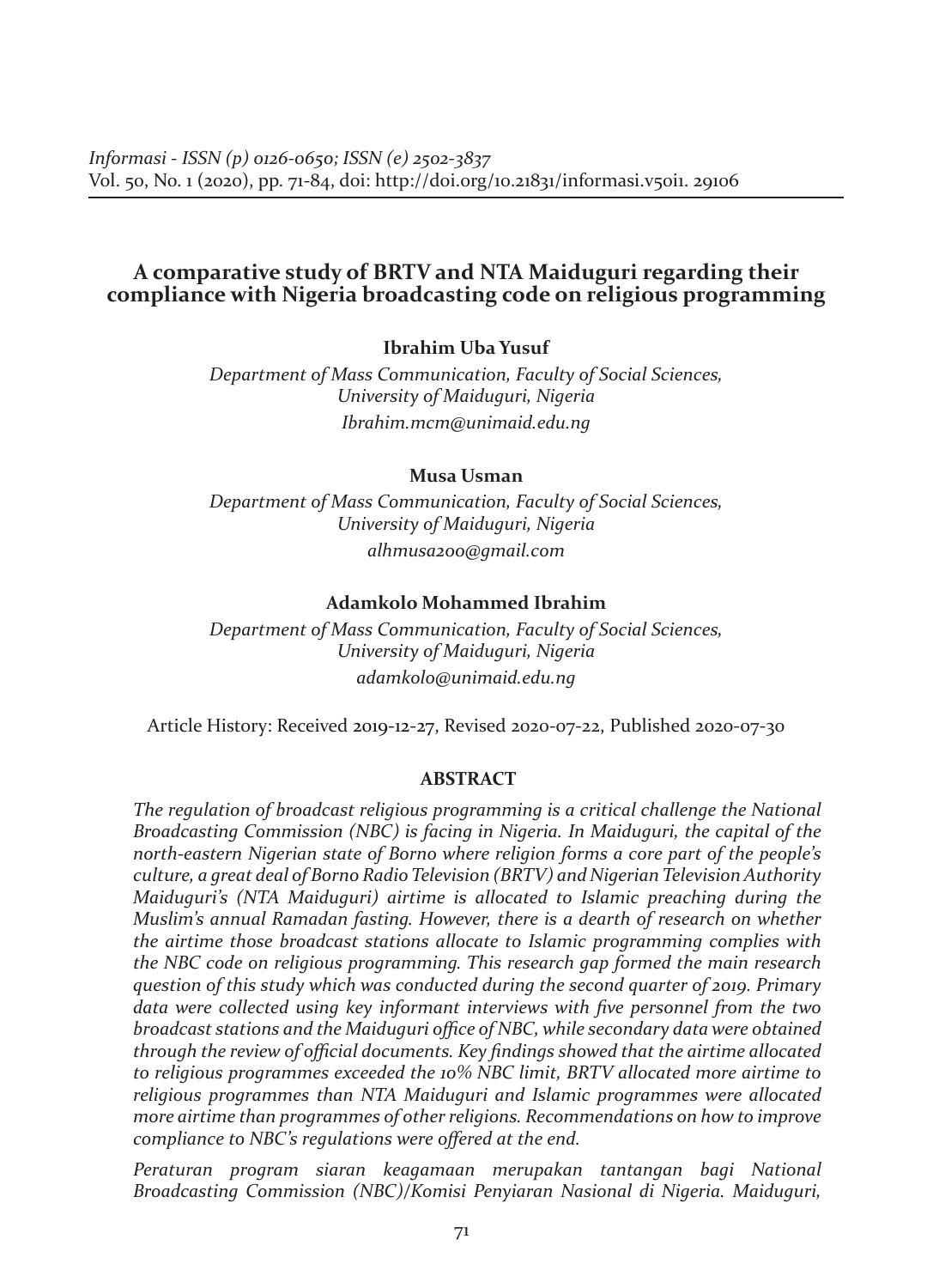## **A comparative study of BRTV and NTA Maiduguri regarding their compliance with Nigeria broadcasting code on religious programming**

### **Ibrahim Uba Yusuf**

*Department of Mass Communication, Faculty of Social Sciences, University of Maiduguri, Nigeria Ibrahim.mcm@unimaid.edu.ng*

#### **Musa Usman**

*Department of Mass Communication, Faculty of Social Sciences, University of Maiduguri, Nigeria alhmusa200@gmail.com*

#### **Adamkolo Mohammed Ibrahim**

*Department of Mass Communication, Faculty of Social Sciences, University of Maiduguri, Nigeria adamkolo@unimaid.edu.ng*

Article History: Received 2019-12-27, Revised 2020-07-22, Published 2020-07-30

#### **ABSTRACT**

*The regulation of broadcast religious programming is a critical challenge the National Broadcasting Commission (NBC) is facing in Nigeria. In Maiduguri, the capital of the north-eastern Nigerian state of Borno where religion forms a core part of the people's culture, a great deal of Borno Radio Television (BRTV) and Nigerian Television Authority Maiduguri's (NTA Maiduguri) airtime is allocated to Islamic preaching during the Muslim's annual Ramadan fasting. However, there is a dearth of research on whether the airtime those broadcast stations allocate to Islamic programming complies with the NBC code on religious programming. This research gap formed the main research question of this study which was conducted during the second quarter of 2019. Primary data were collected using key informant interviews with five personnel from the two broadcast stations and the Maiduguri office of NBC, while secondary data were obtained through the review of official documents. Key findings showed that the airtime allocated to religious programmes exceeded the 10% NBC limit, BRTV allocated more airtime to religious programmes than NTA Maiduguri and Islamic programmes were allocated more airtime than programmes of other religions. Recommendations on how to improve compliance to NBC's regulations were offered at the end.*

*Peraturan program siaran keagamaan merupakan tantangan bagi National Broadcasting Commission (NBC)/Komisi Penyiaran Nasional di Nigeria. Maiduguri,*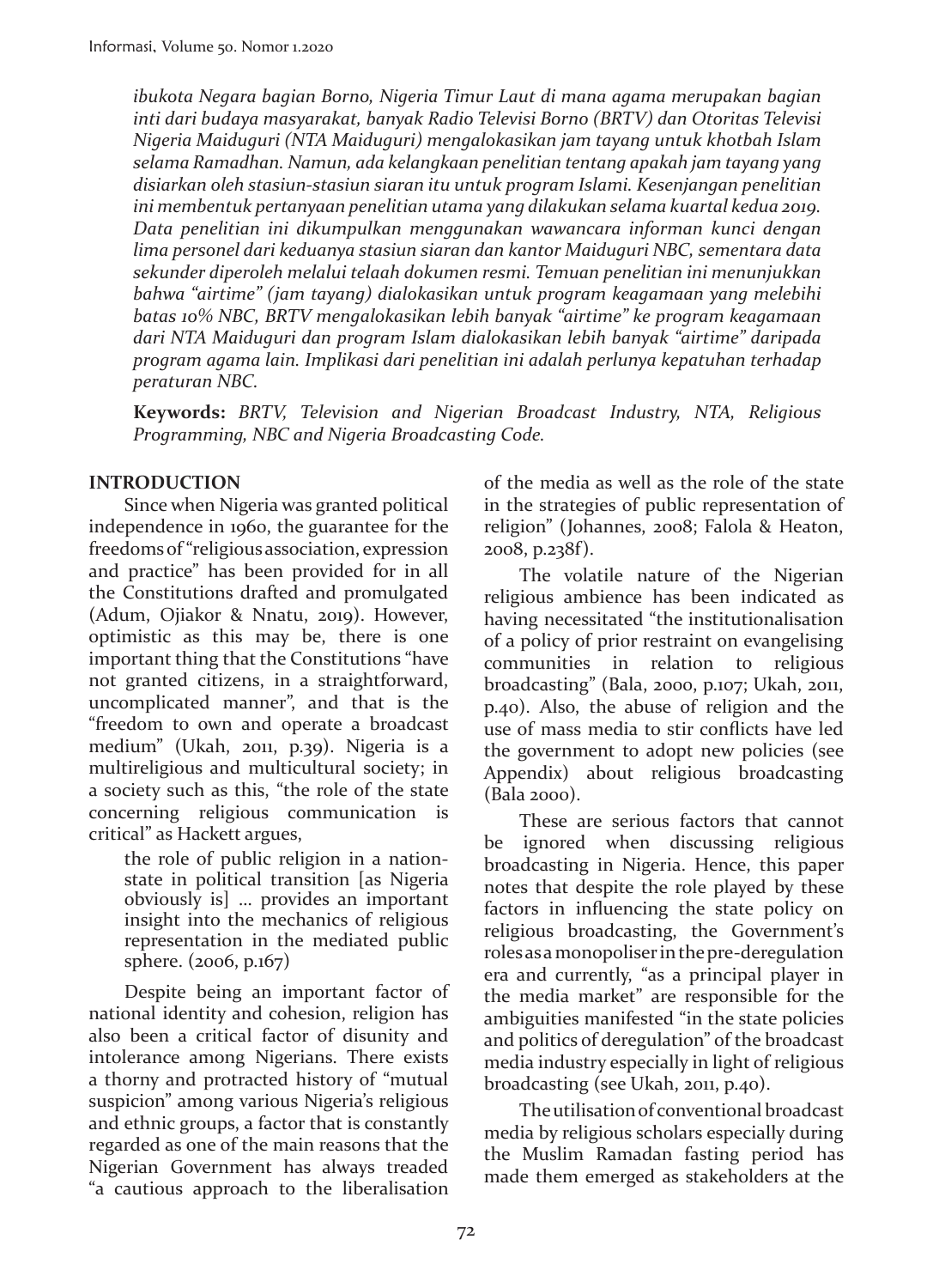*ibukota Negara bagian Borno, Nigeria Timur Laut di mana agama merupakan bagian inti dari budaya masyarakat, banyak Radio Televisi Borno (BRTV) dan Otoritas Televisi Nigeria Maiduguri (NTA Maiduguri) mengalokasikan jam tayang untuk khotbah Islam selama Ramadhan. Namun, ada kelangkaan penelitian tentang apakah jam tayang yang disiarkan oleh stasiun-stasiun siaran itu untuk program Islami. Kesenjangan penelitian ini membentuk pertanyaan penelitian utama yang dilakukan selama kuartal kedua 2019. Data penelitian ini dikumpulkan menggunakan wawancara informan kunci dengan lima personel dari keduanya stasiun siaran dan kantor Maiduguri NBC, sementara data sekunder diperoleh melalui telaah dokumen resmi. Temuan penelitian ini menunjukkan bahwa "airtime" (jam tayang) dialokasikan untuk program keagamaan yang melebihi batas 10% NBC, BRTV mengalokasikan lebih banyak "airtime" ke program keagamaan dari NTA Maiduguri dan program Islam dialokasikan lebih banyak "airtime" daripada program agama lain. Implikasi dari penelitian ini adalah perlunya kepatuhan terhadap peraturan NBC.*

**Keywords:** *BRTV, Television and Nigerian Broadcast Industry, NTA, Religious Programming, NBC and Nigeria Broadcasting Code.*

## **INTRODUCTION**

Since when Nigeria was granted political independence in 1960, the guarantee for the freedoms of "religious association, expression and practice" has been provided for in all the Constitutions drafted and promulgated (Adum, Ojiakor & Nnatu, 2019). However, optimistic as this may be, there is one important thing that the Constitutions "have not granted citizens, in a straightforward, uncomplicated manner", and that is the "freedom to own and operate a broadcast medium" (Ukah, 2011, p.39). Nigeria is a multireligious and multicultural society; in a society such as this, "the role of the state concerning religious communication is critical" as Hackett argues,

the role of public religion in a nationstate in political transition [as Nigeria obviously is] … provides an important insight into the mechanics of religious representation in the mediated public sphere. (2006, p.167)

Despite being an important factor of national identity and cohesion, religion has also been a critical factor of disunity and intolerance among Nigerians. There exists a thorny and protracted history of "mutual suspicion" among various Nigeria's religious and ethnic groups, a factor that is constantly regarded as one of the main reasons that the Nigerian Government has always treaded "a cautious approach to the liberalisation

of the media as well as the role of the state in the strategies of public representation of religion" (Johannes, 2008; Falola & Heaton, 2008, p.238f).

The volatile nature of the Nigerian religious ambience has been indicated as having necessitated "the institutionalisation of a policy of prior restraint on evangelising communities in relation to religious broadcasting" (Bala, 2000, p.107; Ukah, 2011, p.40). Also, the abuse of religion and the use of mass media to stir conflicts have led the government to adopt new policies (see Appendix) about religious broadcasting (Bala 2000).

These are serious factors that cannot be ignored when discussing religious broadcasting in Nigeria. Hence, this paper notes that despite the role played by these factors in influencing the state policy on religious broadcasting, the Government's roles as a monopoliser in the pre-deregulation era and currently, "as a principal player in the media market" are responsible for the ambiguities manifested "in the state policies and politics of deregulation" of the broadcast media industry especially in light of religious broadcasting (see Ukah, 2011, p.40).

The utilisation of conventional broadcast media by religious scholars especially during the Muslim Ramadan fasting period has made them emerged as stakeholders at the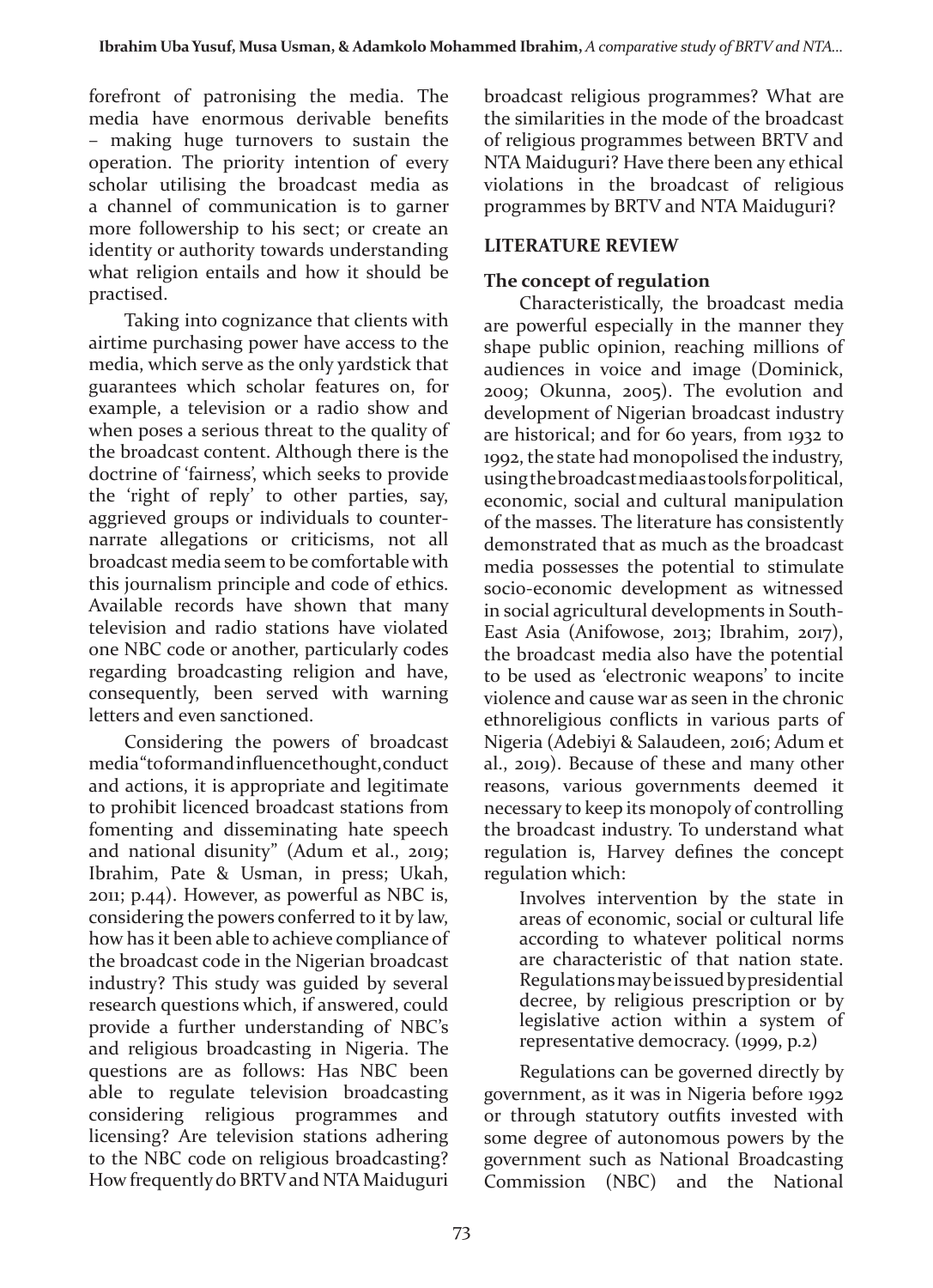forefront of patronising the media. The media have enormous derivable benefits – making huge turnovers to sustain the operation. The priority intention of every scholar utilising the broadcast media as a channel of communication is to garner more followership to his sect; or create an identity or authority towards understanding what religion entails and how it should be practised.

Taking into cognizance that clients with airtime purchasing power have access to the media, which serve as the only yardstick that guarantees which scholar features on, for example, a television or a radio show and when poses a serious threat to the quality of the broadcast content. Although there is the doctrine of 'fairness', which seeks to provide the 'right of reply' to other parties, say, aggrieved groups or individuals to counternarrate allegations or criticisms, not all broadcast media seem to be comfortable with this journalism principle and code of ethics. Available records have shown that many television and radio stations have violated one NBC code or another, particularly codes regarding broadcasting religion and have, consequently, been served with warning letters and even sanctioned.

Considering the powers of broadcast media "to form and influence thought, conduct and actions, it is appropriate and legitimate to prohibit licenced broadcast stations from fomenting and disseminating hate speech and national disunity" (Adum et al., 2019; Ibrahim, Pate & Usman, in press; Ukah, 2011; p.44). However, as powerful as NBC is, considering the powers conferred to it by law, how has it been able to achieve compliance of the broadcast code in the Nigerian broadcast industry? This study was guided by several research questions which, if answered, could provide a further understanding of NBC's and religious broadcasting in Nigeria. The questions are as follows: Has NBC been able to regulate television broadcasting considering religious programmes and licensing? Are television stations adhering to the NBC code on religious broadcasting? How frequently do BRTV and NTA Maiduguri

broadcast religious programmes? What are the similarities in the mode of the broadcast of religious programmes between BRTV and NTA Maiduguri? Have there been any ethical violations in the broadcast of religious programmes by BRTV and NTA Maiduguri?

## **LITERATURE REVIEW**

## **The concept of regulation**

Characteristically, the broadcast media are powerful especially in the manner they shape public opinion, reaching millions of audiences in voice and image (Dominick, 2009; Okunna, 2005). The evolution and development of Nigerian broadcast industry are historical; and for 60 years, from 1932 to 1992, the state had monopolised the industry, using the broadcast media as tools for political, economic, social and cultural manipulation of the masses. The literature has consistently demonstrated that as much as the broadcast media possesses the potential to stimulate socio-economic development as witnessed in social agricultural developments in South-East Asia (Anifowose, 2013; Ibrahim, 2017), the broadcast media also have the potential to be used as 'electronic weapons' to incite violence and cause war as seen in the chronic ethnoreligious conflicts in various parts of Nigeria (Adebiyi & Salaudeen, 2016; Adum et al., 2019). Because of these and many other reasons, various governments deemed it necessary to keep its monopoly of controlling the broadcast industry. To understand what regulation is, Harvey defines the concept regulation which:

Involves intervention by the state in areas of economic, social or cultural life according to whatever political norms are characteristic of that nation state. Regulations may be issued by presidential decree, by religious prescription or by legislative action within a system of representative democracy. (1999, p.2)

Regulations can be governed directly by government, as it was in Nigeria before 1992 or through statutory outfits invested with some degree of autonomous powers by the government such as National Broadcasting Commission (NBC) and the National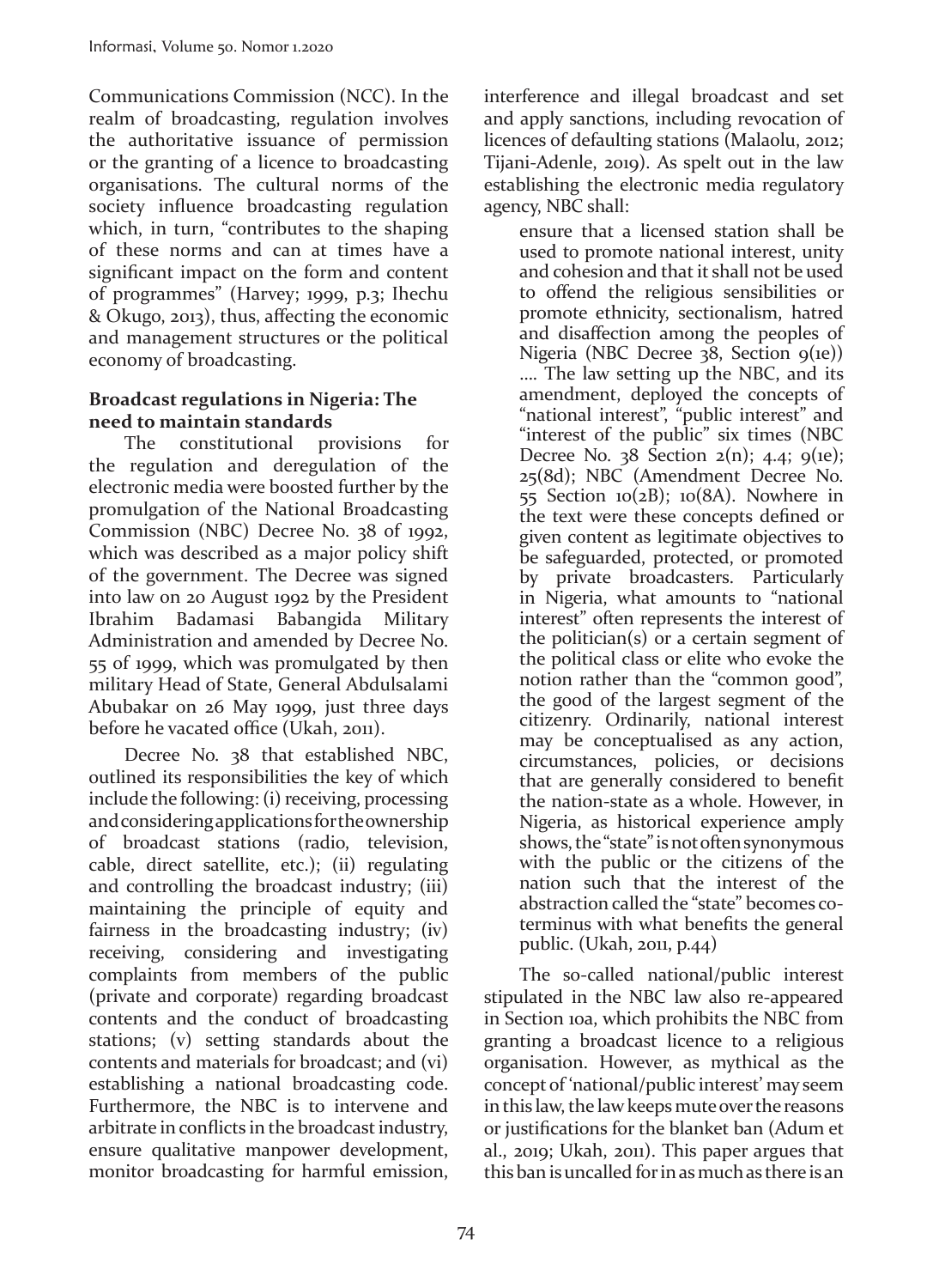Communications Commission (NCC). In the realm of broadcasting, regulation involves the authoritative issuance of permission or the granting of a licence to broadcasting organisations. The cultural norms of the society influence broadcasting regulation which, in turn, "contributes to the shaping of these norms and can at times have a significant impact on the form and content of programmes" (Harvey; 1999, p.3; Ihechu & Okugo, 2013), thus, affecting the economic and management structures or the political economy of broadcasting.

## **Broadcast regulations in Nigeria: The need to maintain standards**

The constitutional provisions for the regulation and deregulation of the electronic media were boosted further by the promulgation of the National Broadcasting Commission (NBC) Decree No. 38 of 1992, which was described as a major policy shift of the government. The Decree was signed into law on 20 August 1992 by the President Ibrahim Badamasi Babangida Military Administration and amended by Decree No. 55 of 1999, which was promulgated by then military Head of State, General Abdulsalami Abubakar on 26 May 1999, just three days before he vacated office (Ukah, 2011).

Decree No. 38 that established NBC, outlined its responsibilities the key of which include the following: (i) receiving, processing and considering applications for the ownership of broadcast stations (radio, television, cable, direct satellite, etc.); (ii) regulating and controlling the broadcast industry; (iii) maintaining the principle of equity and fairness in the broadcasting industry; (iv) receiving, considering and investigating complaints from members of the public (private and corporate) regarding broadcast contents and the conduct of broadcasting stations; (v) setting standards about the contents and materials for broadcast; and (vi) establishing a national broadcasting code. Furthermore, the NBC is to intervene and arbitrate in conflicts in the broadcast industry, ensure qualitative manpower development, monitor broadcasting for harmful emission, interference and illegal broadcast and set and apply sanctions, including revocation of licences of defaulting stations (Malaolu, 2012; Tijani-Adenle, 2019). As spelt out in the law establishing the electronic media regulatory agency, NBC shall:

ensure that a licensed station shall be used to promote national interest, unity and cohesion and that it shall not be used to offend the religious sensibilities or promote ethnicity, sectionalism, hatred and disaffection among the peoples of Nigeria (NBC Decree  $38$ , Section  $9(1e)$ ) …. The law setting up the NBC, and its amendment, deployed the concepts of "national interest", "public interest" and "interest of the public" six times (NBC Decree No.  $38$  Section  $2(n)$ ; 4.4;  $9(n)$ ; 25(8d); NBC (Amendment Decree No. 55 Section  $10(2B)$ ;  $10(8A)$ . Nowhere in the text were these concepts defined or given content as legitimate objectives to be safeguarded, protected, or promoted by private broadcasters. Particularly in Nigeria, what amounts to "national interest" often represents the interest of the politician(s) or a certain segment of the political class or elite who evoke the notion rather than the "common good", the good of the largest segment of the citizenry. Ordinarily, national interest may be conceptualised as any action, circumstances, policies, or decisions that are generally considered to benefit the nation-state as a whole. However, in Nigeria, as historical experience amply shows, the "state" is not often synonymous with the public or the citizens of the nation such that the interest of the abstraction called the "state" becomes coterminus with what benefits the general public. (Ukah, 2011, p.44)

The so-called national/public interest stipulated in the NBC law also re-appeared in Section 10a, which prohibits the NBC from granting a broadcast licence to a religious organisation. However, as mythical as the concept of 'national/public interest' may seem in this law, the law keeps mute over the reasons or justifications for the blanket ban (Adum et al., 2019; Ukah, 2011). This paper argues that this ban is uncalled for in as much as there is an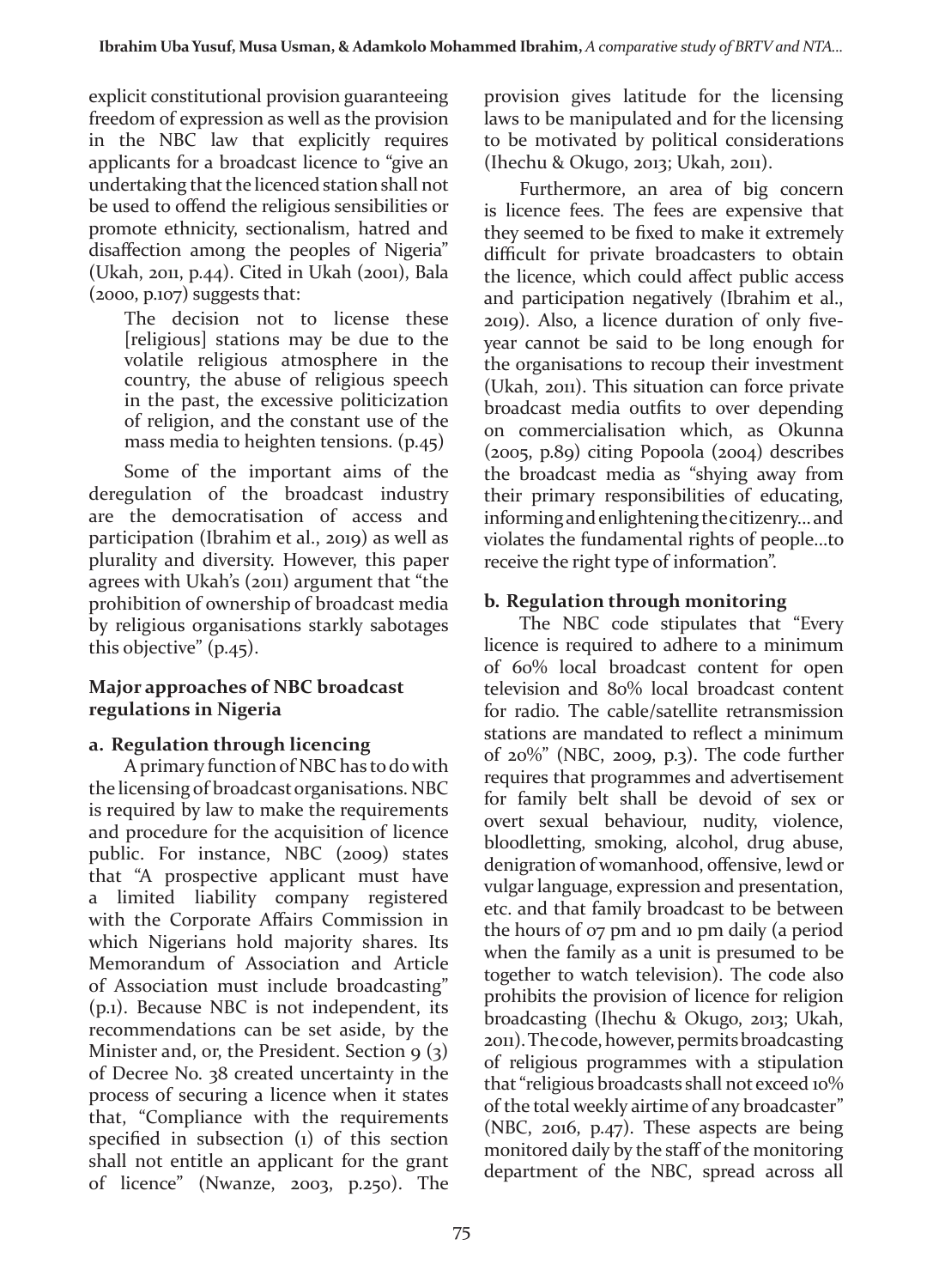explicit constitutional provision guaranteeing freedom of expression as well as the provision in the NBC law that explicitly requires applicants for a broadcast licence to "give an undertaking that the licenced station shall not be used to offend the religious sensibilities or promote ethnicity, sectionalism, hatred and disaffection among the peoples of Nigeria" (Ukah, 2011, p.44). Cited in Ukah (2001), Bala (2000, p.107) suggests that:

The decision not to license these [religious] stations may be due to the volatile religious atmosphere in the country, the abuse of religious speech in the past, the excessive politicization of religion, and the constant use of the mass media to heighten tensions. (p.45)

Some of the important aims of the deregulation of the broadcast industry are the democratisation of access and participation (Ibrahim et al., 2019) as well as plurality and diversity. However, this paper agrees with Ukah's (2011) argument that "the prohibition of ownership of broadcast media by religious organisations starkly sabotages this objective" (p.45).

## **Major approaches of NBC broadcast regulations in Nigeria**

## **a. Regulation through licencing**

A primary function of NBC has to do with the licensing of broadcast organisations. NBC is required by law to make the requirements and procedure for the acquisition of licence public. For instance, NBC (2009) states that "A prospective applicant must have a limited liability company registered with the Corporate Affairs Commission in which Nigerians hold majority shares. Its Memorandum of Association and Article of Association must include broadcasting" (p.1). Because NBC is not independent, its recommendations can be set aside, by the Minister and, or, the President. Section  $9(3)$ of Decree No. 38 created uncertainty in the process of securing a licence when it states that, "Compliance with the requirements specified in subsection (1) of this section shall not entitle an applicant for the grant of licence" (Nwanze, 2003, p.250). The provision gives latitude for the licensing laws to be manipulated and for the licensing to be motivated by political considerations (Ihechu & Okugo, 2013; Ukah, 2011).

Furthermore, an area of big concern is licence fees. The fees are expensive that they seemed to be fixed to make it extremely difficult for private broadcasters to obtain the licence, which could affect public access and participation negatively (Ibrahim et al., 2019). Also, a licence duration of only fiveyear cannot be said to be long enough for the organisations to recoup their investment (Ukah, 2011). This situation can force private broadcast media outfits to over depending on commercialisation which, as Okunna (2005, p.89) citing Popoola (2004) describes the broadcast media as "shying away from their primary responsibilities of educating, informing and enlightening the citizenry... and violates the fundamental rights of people...to receive the right type of information".

# **b. Regulation through monitoring**

The NBC code stipulates that "Every licence is required to adhere to a minimum of 60% local broadcast content for open television and 80% local broadcast content for radio. The cable/satellite retransmission stations are mandated to reflect a minimum of 20%" (NBC, 2009, p.3). The code further requires that programmes and advertisement for family belt shall be devoid of sex or overt sexual behaviour, nudity, violence, bloodletting, smoking, alcohol, drug abuse, denigration of womanhood, offensive, lewd or vulgar language, expression and presentation, etc. and that family broadcast to be between the hours of 07 pm and 10 pm daily (a period when the family as a unit is presumed to be together to watch television). The code also prohibits the provision of licence for religion broadcasting (Ihechu & Okugo, 2013; Ukah, 2011). The code, however, permits broadcasting of religious programmes with a stipulation that "religious broadcasts shall not exceed 10% of the total weekly airtime of any broadcaster" (NBC, 2016, p.47). These aspects are being monitored daily by the staff of the monitoring department of the NBC, spread across all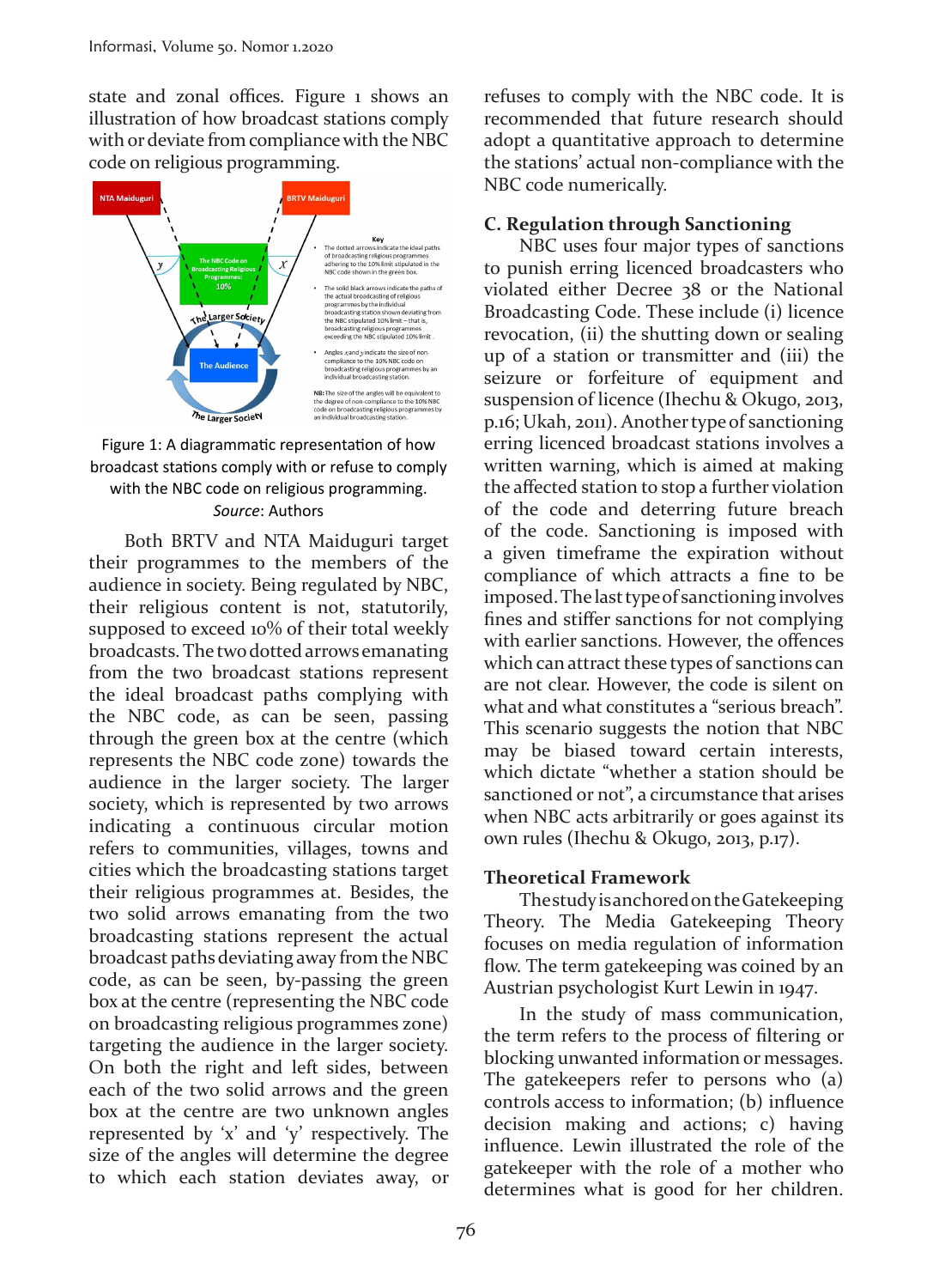state and zonal offices. Figure 1 shows an illustration of how broadcast stations comply with or deviate from compliance with the NBC code on religious programming.





Both BRTV and NTA Maiduguri target their programmes to the members of the audience in society. Being regulated by NBC, their religious content is not, statutorily, supposed to exceed 10% of their total weekly broadcasts. The two dotted arrows emanating from the two broadcast stations represent the ideal broadcast paths complying with the NBC code, as can be seen, passing through the green box at the centre (which represents the NBC code zone) towards the audience in the larger society. The larger society, which is represented by two arrows indicating a continuous circular motion refers to communities, villages, towns and cities which the broadcasting stations target their religious programmes at. Besides, the two solid arrows emanating from the two broadcasting stations represent the actual broadcast paths deviating away from the NBC code, as can be seen, by-passing the green box at the centre (representing the NBC code on broadcasting religious programmes zone) targeting the audience in the larger society. On both the right and left sides, between each of the two solid arrows and the green box at the centre are two unknown angles represented by 'x' and 'y' respectively. The size of the angles will determine the degree to which each station deviates away, or refuses to comply with the NBC code. It is recommended that future research should adopt a quantitative approach to determine the stations' actual non-compliance with the NBC code numerically.

### **C. Regulation through Sanctioning**

NBC uses four major types of sanctions to punish erring licenced broadcasters who violated either Decree 38 or the National Broadcasting Code. These include (i) licence revocation, (ii) the shutting down or sealing up of a station or transmitter and (iii) the seizure or forfeiture of equipment and suspension of licence (Ihechu & Okugo, 2013, p.16; Ukah, 2011). Another type of sanctioning erring licenced broadcast stations involves a written warning, which is aimed at making the affected station to stop a further violation of the code and deterring future breach of the code. Sanctioning is imposed with a given timeframe the expiration without compliance of which attracts a fine to be imposed. The last type of sanctioning involves fines and stiffer sanctions for not complying with earlier sanctions. However, the offences which can attract these types of sanctions can are not clear. However, the code is silent on what and what constitutes a "serious breach". This scenario suggests the notion that NBC may be biased toward certain interests, which dictate "whether a station should be sanctioned or not", a circumstance that arises when NBC acts arbitrarily or goes against its own rules (Ihechu & Okugo, 2013, p.17).

#### **Theoretical Framework**

The study is anchored on the Gatekeeping Theory. The Media Gatekeeping Theory focuses on media regulation of information flow. The term gatekeeping was coined by an Austrian psychologist Kurt Lewin in 1947.

In the study of mass communication, the term refers to the process of filtering or blocking unwanted information or messages. The gatekeepers refer to persons who (a) controls access to information; (b) influence decision making and actions; c) having influence. Lewin illustrated the role of the gatekeeper with the role of a mother who determines what is good for her children.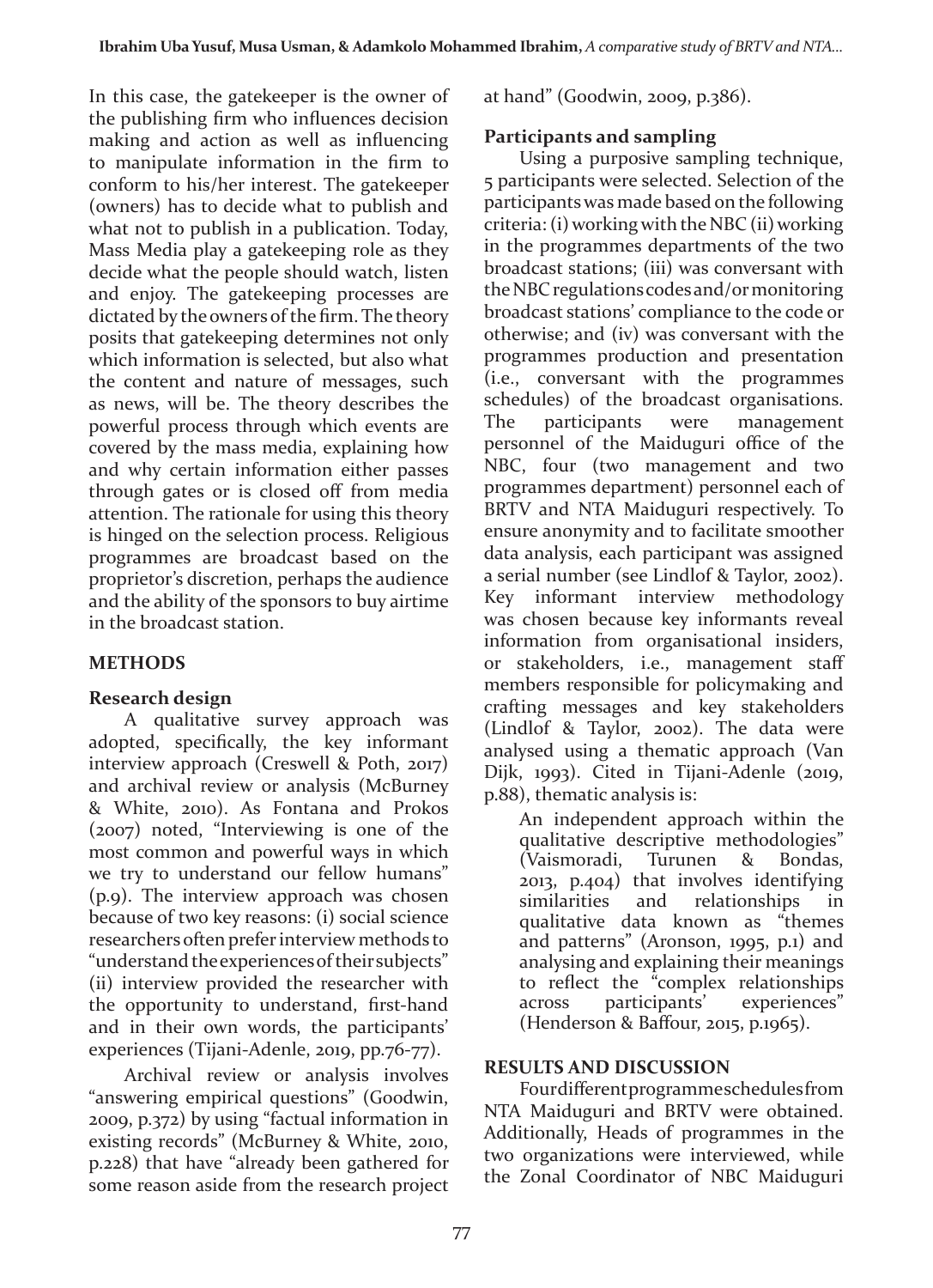In this case, the gatekeeper is the owner of the publishing firm who influences decision making and action as well as influencing to manipulate information in the firm to conform to his/her interest. The gatekeeper (owners) has to decide what to publish and what not to publish in a publication. Today, Mass Media play a gatekeeping role as they decide what the people should watch, listen and enjoy. The gatekeeping processes are dictated by the owners of the firm. The theory posits that gatekeeping determines not only which information is selected, but also what the content and nature of messages, such as news, will be. The theory describes the powerful process through which events are covered by the mass media, explaining how and why certain information either passes through gates or is closed off from media attention. The rationale for using this theory is hinged on the selection process. Religious programmes are broadcast based on the proprietor's discretion, perhaps the audience and the ability of the sponsors to buy airtime in the broadcast station.

# **METHODS**

# **Research design**

A qualitative survey approach was adopted, specifically, the key informant interview approach (Creswell & Poth, 2017) and archival review or analysis (McBurney & White, 2010). As Fontana and Prokos (2007) noted, "Interviewing is one of the most common and powerful ways in which we try to understand our fellow humans" (p.9). The interview approach was chosen because of two key reasons: (i) social science researchers often prefer interview methods to "understand the experiences of their subjects" (ii) interview provided the researcher with the opportunity to understand, first-hand and in their own words, the participants' experiences (Tijani-Adenle, 2019, pp.76-77).

Archival review or analysis involves "answering empirical questions" (Goodwin, 2009, p.372) by using "factual information in existing records" (McBurney & White, 2010, p.228) that have "already been gathered for some reason aside from the research project at hand" (Goodwin, 2009, p.386).

## **Participants and sampling**

Using a purposive sampling technique, 5 participants were selected. Selection of the participants was made based on the following criteria: (i) working with the NBC (ii) working in the programmes departments of the two broadcast stations; (iii) was conversant with the NBC regulations codes and/or monitoring broadcast stations' compliance to the code or otherwise; and (iv) was conversant with the programmes production and presentation (i.e., conversant with the programmes schedules) of the broadcast organisations. The participants were management personnel of the Maiduguri office of the NBC, four (two management and two programmes department) personnel each of BRTV and NTA Maiduguri respectively. To ensure anonymity and to facilitate smoother data analysis, each participant was assigned a serial number (see Lindlof & Taylor, 2002). Key informant interview methodology was chosen because key informants reveal information from organisational insiders, or stakeholders, i.e., management staff members responsible for policymaking and crafting messages and key stakeholders (Lindlof & Taylor, 2002). The data were analysed using a thematic approach (Van Dijk, 1993). Cited in Tijani-Adenle (2019, p.88), thematic analysis is:

An independent approach within the qualitative descriptive methodologies" (Vaismoradi, Turunen & Bondas, 2013, p.404) that involves identifying similarities and relationships in qualitative data known as "themes and patterns" (Aronson, 1995, p.1) and analysing and explaining their meanings to reflect the "complex relationships across participants' experiences" (Henderson & Baffour, 2015, p.1965).

# **RESULTS AND DISCUSSION**

Four different programme schedules from NTA Maiduguri and BRTV were obtained. Additionally, Heads of programmes in the two organizations were interviewed, while the Zonal Coordinator of NBC Maiduguri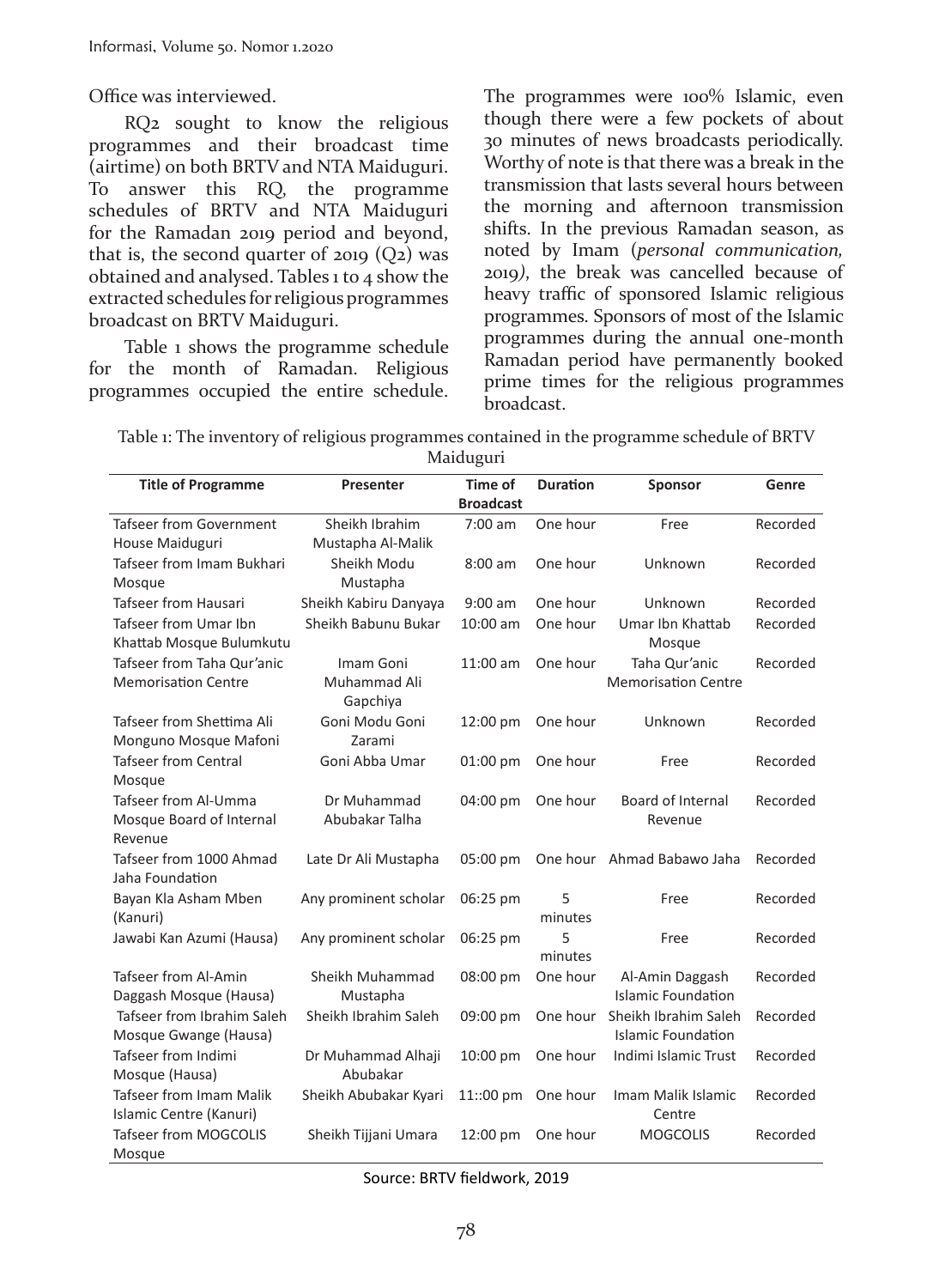Office was interviewed.

RQ2 sought to know the religious programmes and their broadcast time (airtime) on both BRTV and NTA Maiduguri. To answer this RQ, the programme schedules of BRTV and NTA Maiduguri for the Ramadan 2019 period and beyond, that is, the second quarter of 2019  $(Q_2)$  was obtained and analysed. Tables 1 to 4 show the extracted schedules for religious programmes broadcast on BRTV Maiduguri.

Table 1 shows the programme schedule for the month of Ramadan. Religious programmes occupied the entire schedule. The programmes were 100% Islamic, even though there were a few pockets of about 30 minutes of news broadcasts periodically. Worthy of note is that there was a break in the transmission that lasts several hours between the morning and afternoon transmission shifts. In the previous Ramadan season, as noted by Imam (*personal communication,*  2019*)*, the break was cancelled because of heavy traffic of sponsored Islamic religious programmes. Sponsors of most of the Islamic programmes during the annual one-month Ramadan period have permanently booked prime times for the religious programmes broadcast.

Table 1: The inventory of religious programmes contained in the programme schedule of BRTV Maiduguri

| <b>Title of Programme</b>                                   | <b>Presenter</b>                      | <b>Time of</b><br><b>Broadcast</b> | <b>Duration</b> | <b>Sponsor</b>                                    | Genre    |
|-------------------------------------------------------------|---------------------------------------|------------------------------------|-----------------|---------------------------------------------------|----------|
| Tafseer from Government<br>House Maiduguri                  | Sheikh Ibrahim<br>Mustapha Al-Malik   | $7:00$ am                          | One hour        | Free                                              | Recorded |
| Tafseer from Imam Bukhari<br>Mosque                         | Sheikh Modu<br>Mustapha               | $8:00$ am                          | One hour        | Unknown                                           | Recorded |
| <b>Tafseer from Hausari</b>                                 | Sheikh Kabiru Danyaya                 | $9:00$ am                          | One hour        | Unknown                                           | Recorded |
| Tafseer from Umar Ibn<br>Khattab Mosque Bulumkutu           | Sheikh Babunu Bukar                   | $10:00$ am                         | One hour        | Umar Ibn Khattab<br>Mosque                        | Recorded |
| Tafseer from Taha Qur'anic<br><b>Memorisation Centre</b>    | Imam Goni<br>Muhammad Ali<br>Gapchiya | $11:00$ am                         | One hour        | Taha Qur'anic<br><b>Memorisation Centre</b>       | Recorded |
| Tafseer from Shettima Ali<br>Monguno Mosque Mafoni          | Goni Modu Goni<br>Zarami              | 12:00 pm                           | One hour        | Unknown                                           | Recorded |
| <b>Tafseer from Central</b><br>Mosque                       | Goni Abba Umar                        | 01:00 pm                           | One hour        | Free                                              | Recorded |
| Tafseer from Al-Umma<br>Mosque Board of Internal<br>Revenue | Dr Muhammad<br>Abubakar Talha         | 04:00 pm                           | One hour        | Board of Internal<br>Revenue                      | Recorded |
| Tafseer from 1000 Ahmad<br>Jaha Foundation                  | Late Dr Ali Mustapha                  | 05:00 pm                           |                 | One hour Ahmad Babawo Jaha                        | Recorded |
| Bayan Kla Asham Mben<br>(Kanuri)                            | Any prominent scholar                 | 06:25 pm                           | 5<br>minutes    | Free                                              | Recorded |
| Jawabi Kan Azumi (Hausa)                                    | Any prominent scholar                 | 06:25 pm                           | 5<br>minutes    | Free                                              | Recorded |
| <b>Tafseer from Al-Amin</b><br>Daggash Mosque (Hausa)       | Sheikh Muhammad<br>Mustapha           | 08:00 pm                           | One hour        | Al-Amin Daggash<br><b>Islamic Foundation</b>      | Recorded |
| Tafseer from Ibrahim Saleh<br>Mosque Gwange (Hausa)         | Sheikh Ibrahim Saleh                  | 09:00 pm                           | One hour        | Sheikh Ibrahim Saleh<br><b>Islamic Foundation</b> | Recorded |
| Tafseer from Indimi<br>Mosque (Hausa)                       | Dr Muhammad Alhaji<br>Abubakar        | 10:00 pm                           | One hour        | Indimi Islamic Trust                              | Recorded |
| <b>Tafseer from Imam Malik</b><br>Islamic Centre (Kanuri)   | Sheikh Abubakar Kyari                 | 11::00 pm                          | One hour        | Imam Malik Islamic<br>Centre                      | Recorded |
| <b>Tafseer from MOGCOLIS</b><br>Mosque                      | Sheikh Tijjani Umara                  | 12:00 pm                           | One hour        | <b>MOGCOLIS</b>                                   | Recorded |

Source: BRTV fieldwork, 2019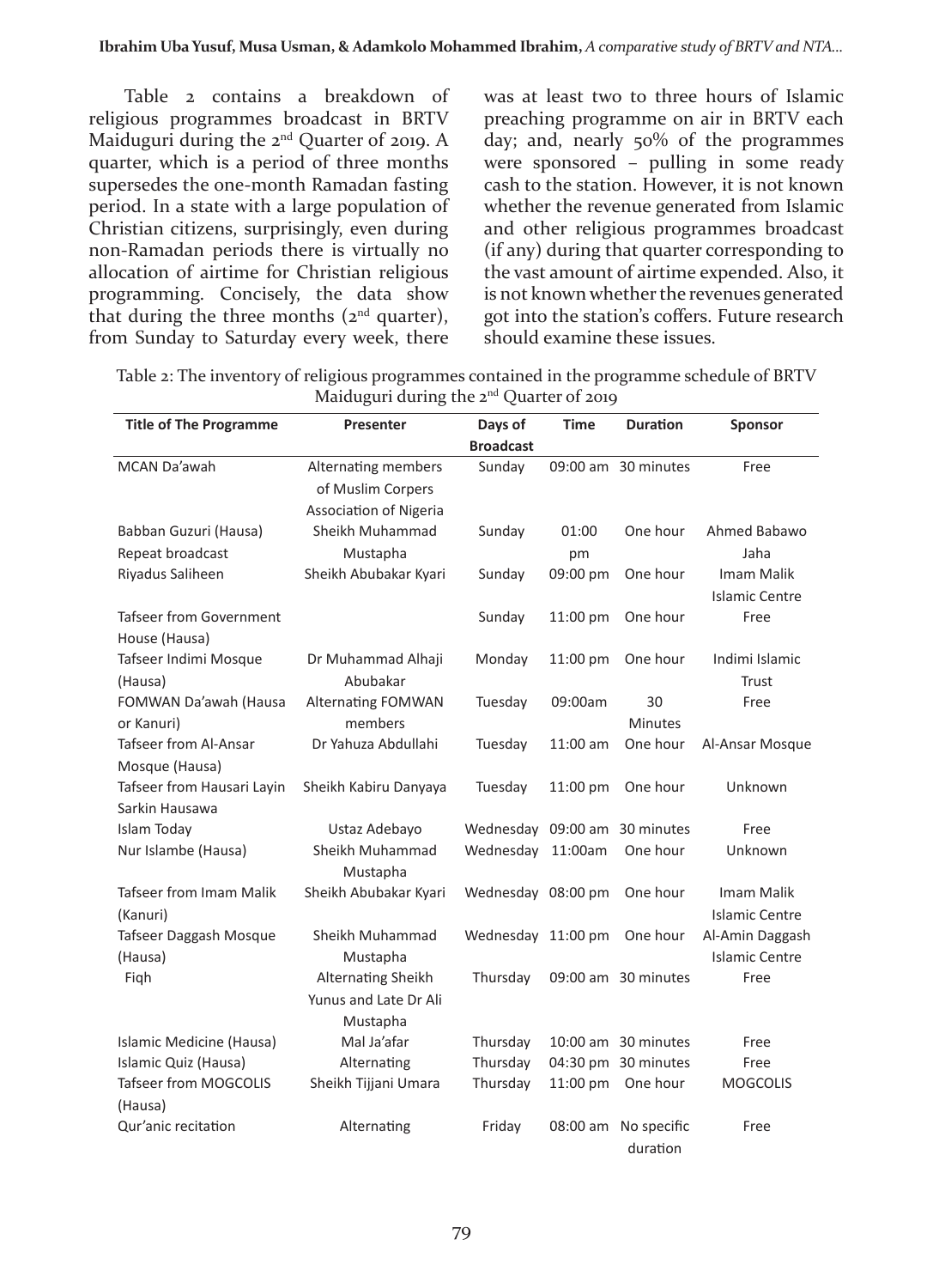Table 2 contains a breakdown of religious programmes broadcast in BRTV Maiduguri during the 2<sup>nd</sup> Quarter of 2019. A quarter, which is a period of three months supersedes the one-month Ramadan fasting period. In a state with a large population of Christian citizens, surprisingly, even during non-Ramadan periods there is virtually no allocation of airtime for Christian religious programming. Concisely, the data show that during the three months  $(2<sup>nd</sup>$  quarter), from Sunday to Saturday every week, there

was at least two to three hours of Islamic preaching programme on air in BRTV each day; and, nearly 50% of the programmes were sponsored – pulling in some ready cash to the station. However, it is not known whether the revenue generated from Islamic and other religious programmes broadcast (if any) during that quarter corresponding to the vast amount of airtime expended. Also, it is not known whether the revenues generated got into the station's coffers. Future research should examine these issues.

| Table 2: The inventory of religious programmes contained in the programme schedule of BRTV |
|--------------------------------------------------------------------------------------------|
| Maiduguri during the $2^{nd}$ Quarter of 2019                                              |

| <b>Title of The Programme</b>  | <b>Presenter</b>              | Days of            | <b>Time</b> | <b>Duration</b>     | <b>Sponsor</b>        |
|--------------------------------|-------------------------------|--------------------|-------------|---------------------|-----------------------|
|                                |                               | <b>Broadcast</b>   |             |                     |                       |
| MCAN Da'awah                   | Alternating members           | Sunday             |             | 09:00 am 30 minutes | Free                  |
|                                | of Muslim Corpers             |                    |             |                     |                       |
|                                | <b>Association of Nigeria</b> |                    |             |                     |                       |
| Babban Guzuri (Hausa)          | Sheikh Muhammad               | Sunday             | 01:00       | One hour            | Ahmed Babawo          |
| Repeat broadcast               | Mustapha                      |                    | pm          |                     | Jaha                  |
| Riyadus Saliheen               | Sheikh Abubakar Kyari         | Sunday             | 09:00 pm    | One hour            | Imam Malik            |
|                                |                               |                    |             |                     | <b>Islamic Centre</b> |
| Tafseer from Government        |                               | Sunday             | 11:00 pm    | One hour            | Free                  |
| House (Hausa)                  |                               |                    |             |                     |                       |
| Tafseer Indimi Mosque          | Dr Muhammad Alhaji            | Monday             | 11:00 pm    | One hour            | Indimi Islamic        |
| (Hausa)                        | Abubakar                      |                    |             |                     | Trust                 |
| FOMWAN Da'awah (Hausa          | <b>Alternating FOMWAN</b>     | Tuesday            | 09:00am     | 30                  | Free                  |
| or Kanuri)                     | members                       |                    |             | <b>Minutes</b>      |                       |
| Tafseer from Al-Ansar          | Dr Yahuza Abdullahi           | Tuesday            | 11:00 am    | One hour            | Al-Ansar Mosque       |
| Mosque (Hausa)                 |                               |                    |             |                     |                       |
| Tafseer from Hausari Layin     | Sheikh Kabiru Danyaya         | Tuesday            | 11:00 pm    | One hour            | Unknown               |
| Sarkin Hausawa                 |                               |                    |             |                     |                       |
| Islam Today                    | Ustaz Adebayo                 | Wednesday          | 09:00 am    | 30 minutes          | Free                  |
| Nur Islambe (Hausa)            | Sheikh Muhammad               | Wednesday          | 11:00am     | One hour            | Unknown               |
|                                | Mustapha                      |                    |             |                     |                       |
| <b>Tafseer from Imam Malik</b> | Sheikh Abubakar Kyari         | Wednesday 08:00 pm |             | One hour            | Imam Malik            |
| (Kanuri)                       |                               |                    |             |                     | <b>Islamic Centre</b> |
| Tafseer Daggash Mosque         | Sheikh Muhammad               | Wednesday 11:00 pm |             | One hour            | Al-Amin Daggash       |
| (Hausa)                        | Mustapha                      |                    |             |                     | <b>Islamic Centre</b> |
| Fiqh                           | Alternating Sheikh            | Thursday           |             | 09:00 am 30 minutes | Free                  |
|                                | Yunus and Late Dr Ali         |                    |             |                     |                       |
|                                | Mustapha                      |                    |             |                     |                       |
| Islamic Medicine (Hausa)       | Mal Ja'afar                   | Thursday           |             | 10:00 am 30 minutes | Free                  |
| Islamic Quiz (Hausa)           | Alternating                   | Thursday           |             | 04:30 pm 30 minutes | Free                  |
| Tafseer from MOGCOLIS          | Sheikh Tijjani Umara          | Thursday           | 11:00 pm    | One hour            | <b>MOGCOLIS</b>       |
| (Hausa)                        |                               |                    |             |                     |                       |
| Qur'anic recitation            | Alternating                   | Friday             | 08:00 am    | No specific         | Free                  |
|                                |                               |                    |             | duration            |                       |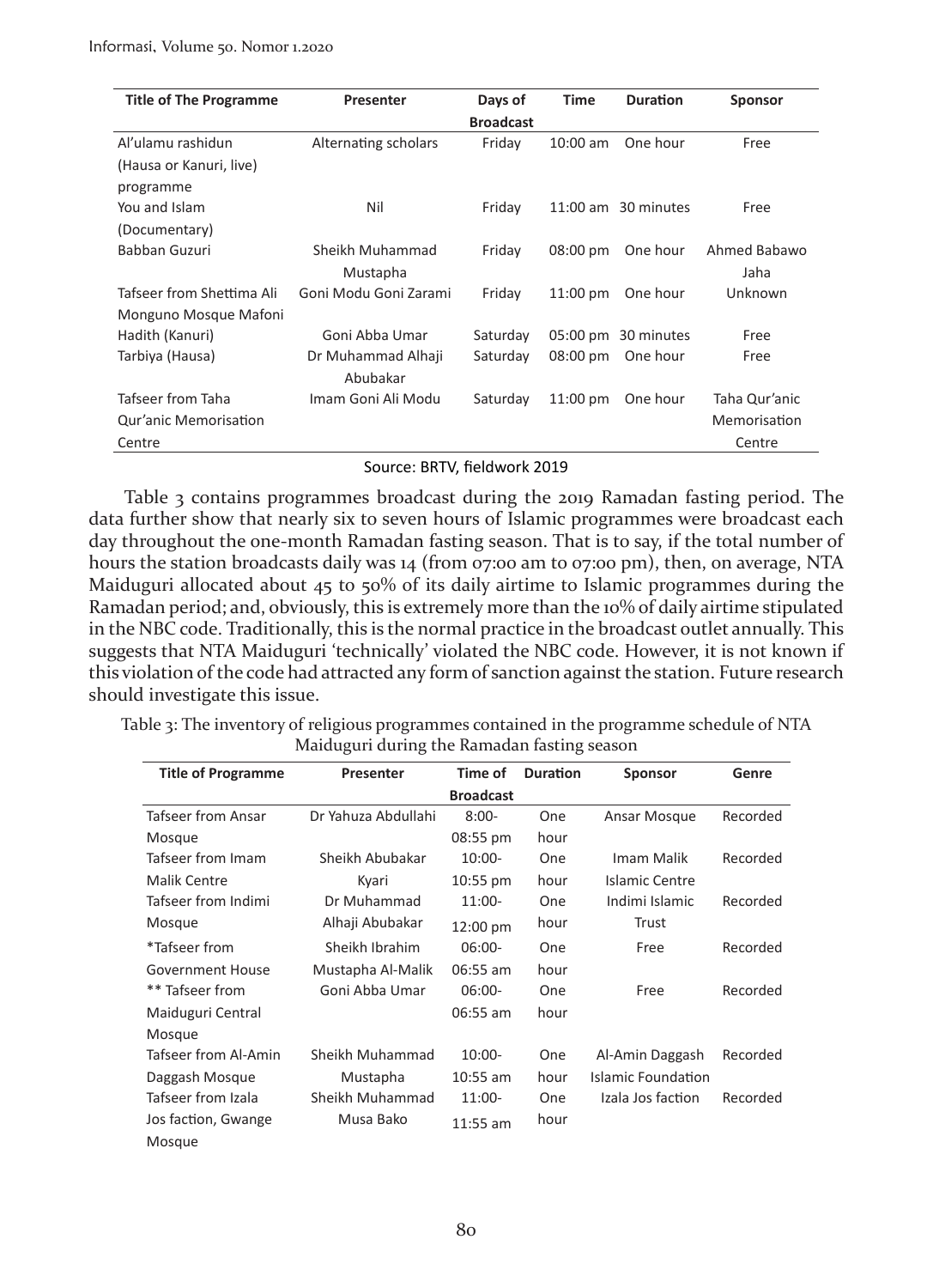| <b>Title of The Programme</b> | <b>Presenter</b>      | Days of          | <b>Time</b>        | <b>Duration</b>     | <b>Sponsor</b> |  |
|-------------------------------|-----------------------|------------------|--------------------|---------------------|----------------|--|
|                               |                       | <b>Broadcast</b> |                    |                     |                |  |
| Al'ulamu rashidun             | Alternating scholars  | Friday           | $10:00$ am         | One hour            | Free           |  |
| (Hausa or Kanuri, live)       |                       |                  |                    |                     |                |  |
| programme                     |                       |                  |                    |                     |                |  |
| You and Islam                 | Nil                   | Friday           |                    | 11:00 am 30 minutes | Free           |  |
| (Documentary)                 |                       |                  |                    |                     |                |  |
| Babban Guzuri                 | Sheikh Muhammad       | Friday           | $08:00 \text{ pm}$ | One hour            | Ahmed Babawo   |  |
|                               | Mustapha              |                  |                    |                     | Jaha           |  |
| Tafseer from Shettima Ali     | Goni Modu Goni Zarami | Friday           | $11:00 \text{ pm}$ | One hour            | Unknown        |  |
| Monguno Mosque Mafoni         |                       |                  |                    |                     |                |  |
| Hadith (Kanuri)               | Goni Abba Umar        | Saturday         | 05:00 pm           | 30 minutes          | Free           |  |
| Tarbiya (Hausa)               | Dr Muhammad Alhaji    | Saturday         | $08:00 \text{ pm}$ | One hour            | Free           |  |
|                               | Abubakar              |                  |                    |                     |                |  |
| Tafseer from Taha             | Imam Goni Ali Modu    | Saturday         | $11:00 \text{ pm}$ | One hour            | Taha Qur'anic  |  |
| Qur'anic Memorisation         |                       |                  |                    |                     | Memorisation   |  |
| Centre                        |                       |                  |                    |                     | Centre         |  |

#### Source: BRTV, fieldwork 2019

Table 3 contains programmes broadcast during the 2019 Ramadan fasting period. The data further show that nearly six to seven hours of Islamic programmes were broadcast each day throughout the one-month Ramadan fasting season. That is to say, if the total number of hours the station broadcasts daily was 14 (from 07:00 am to 07:00 pm), then, on average, NTA Maiduguri allocated about 45 to 50% of its daily airtime to Islamic programmes during the Ramadan period; and, obviously, this is extremely more than the 10% of daily airtime stipulated in the NBC code. Traditionally, this is the normal practice in the broadcast outlet annually. This suggests that NTA Maiduguri 'technically' violated the NBC code. However, it is not known if this violation of the code had attracted any form of sanction against the station. Future research should investigate this issue.

Table 3: The inventory of religious programmes contained in the programme schedule of NTA Maiduguri during the Ramadan fasting season

| <b>Title of Programme</b> | <b>Presenter</b>    | Time of            | <b>Duration</b> | <b>Sponsor</b>     | Genre    |
|---------------------------|---------------------|--------------------|-----------------|--------------------|----------|
|                           |                     | <b>Broadcast</b>   |                 |                    |          |
| <b>Tafseer from Ansar</b> | Dr Yahuza Abdullahi | $8:00-$            | One             | Ansar Mosque       | Recorded |
| Mosque                    |                     | 08:55 pm           | hour            |                    |          |
| Tafseer from Imam         | Sheikh Abubakar     | $10:00-$           | One             | Imam Malik         | Recorded |
| <b>Malik Centre</b>       | Kyari               | $10:55$ pm         | hour            | Islamic Centre     |          |
| Tafseer from Indimi       | Dr Muhammad         | $11:00-$           | One             | Indimi Islamic     | Recorded |
| Mosque                    | Alhaji Abubakar     | $12:00 \text{ pm}$ | hour            | Trust              |          |
| *Tafseer from             | Sheikh Ibrahim      | $06:00-$           | One             | Free               | Recorded |
| Government House          | Mustapha Al-Malik   | $06:55$ am         | hour            |                    |          |
| ** Tafseer from           | Goni Abba Umar      | $06:00-$           | One             | Free               | Recorded |
| Maiduguri Central         |                     | 06:55 am           | hour            |                    |          |
| Mosque                    |                     |                    |                 |                    |          |
| Tafseer from Al-Amin      | Sheikh Muhammad     | $10:00 -$          | One             | Al-Amin Daggash    | Recorded |
| Daggash Mosque            | Mustapha            | $10:55$ am         | hour            | Islamic Foundation |          |
| Tafseer from Izala        | Sheikh Muhammad     | $11:00-$           | One             | Izala Jos faction  | Recorded |
| Jos faction, Gwange       | Musa Bako           | $11:55$ am         | hour            |                    |          |
| Mosque                    |                     |                    |                 |                    |          |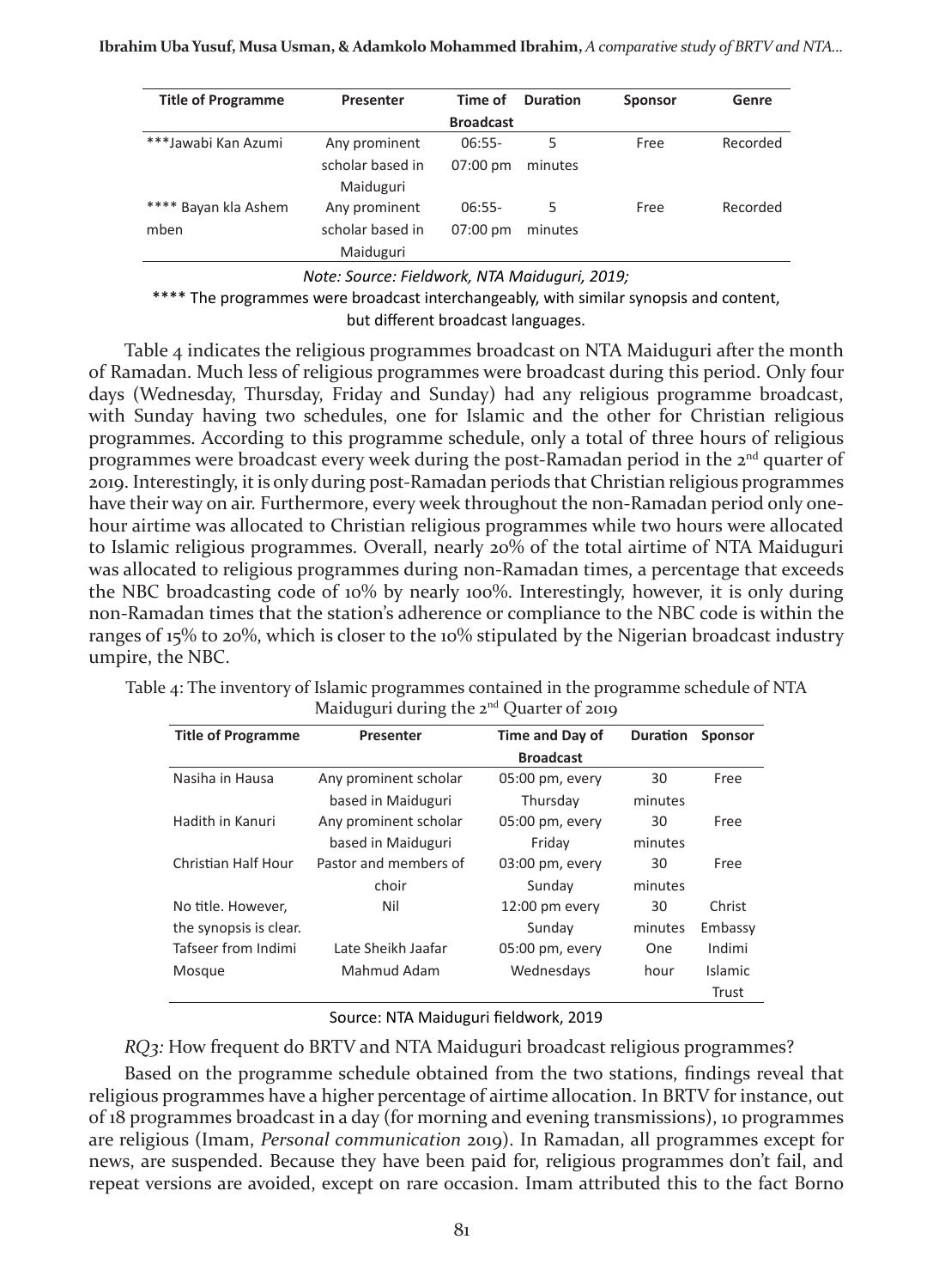| <b>Title of Programme</b> | <b>Presenter</b> | Time of            | <b>Duration</b> | <b>Sponsor</b> | Genre    |
|---------------------------|------------------|--------------------|-----------------|----------------|----------|
|                           |                  | <b>Broadcast</b>   |                 |                |          |
| ***Jawabi Kan Azumi       | Any prominent    | $06:55-$           | 5               | Free           | Recorded |
|                           | scholar based in | $07:00 \text{ pm}$ | minutes         |                |          |
|                           | Maiduguri        |                    |                 |                |          |
| **** Bayan kla Ashem      | Any prominent    | $06:55-$           | 5               | Free           | Recorded |
| mben                      | scholar based in | $07:00 \text{ pm}$ | minutes         |                |          |
|                           | Maiduguri        |                    |                 |                |          |

*Note: Source: Fieldwork, NTA Maiduguri, 2019;* 

\*\*\*\* The programmes were broadcast interchangeably, with similar synopsis and content, but different broadcast languages.

Table 4 indicates the religious programmes broadcast on NTA Maiduguri after the month of Ramadan. Much less of religious programmes were broadcast during this period. Only four days (Wednesday, Thursday, Friday and Sunday) had any religious programme broadcast, with Sunday having two schedules, one for Islamic and the other for Christian religious programmes. According to this programme schedule, only a total of three hours of religious programmes were broadcast every week during the post-Ramadan period in the 2<sup>nd</sup> quarter of 2019. Interestingly, it is only during post-Ramadan periods that Christian religious programmes have their way on air. Furthermore, every week throughout the non-Ramadan period only onehour airtime was allocated to Christian religious programmes while two hours were allocated to Islamic religious programmes. Overall, nearly 20% of the total airtime of NTA Maiduguri was allocated to religious programmes during non-Ramadan times, a percentage that exceeds the NBC broadcasting code of 10% by nearly 100%. Interestingly, however, it is only during non-Ramadan times that the station's adherence or compliance to the NBC code is within the ranges of 15% to 20%, which is closer to the 10% stipulated by the Nigerian broadcast industry umpire, the NBC.

| Title of Dreamanton | <b>Dunnambau</b>                                                                        | Time and Daved Duration Conneau |  |  |
|---------------------|-----------------------------------------------------------------------------------------|---------------------------------|--|--|
|                     | Maiduguri during the $2^{nd}$ Quarter of 2019                                           |                                 |  |  |
|                     | Table 4: The inventory of Islamic programmes contained in the programme schedule of NTA |                                 |  |  |

| <b>Title of Programme</b> | <b>Presenter</b>      | <b>Time and Day of</b> | <b>Duration</b> | <b>Sponsor</b> |
|---------------------------|-----------------------|------------------------|-----------------|----------------|
|                           |                       | <b>Broadcast</b>       |                 |                |
| Nasiha in Hausa           | Any prominent scholar | 05:00 pm, every        | 30              | Free           |
|                           | based in Maiduguri    | Thursday               | minutes         |                |
| Hadith in Kanuri          | Any prominent scholar | $05:00$ pm, every      | 30              | Free           |
|                           | based in Maiduguri    | Friday                 | minutes         |                |
| Christian Half Hour       | Pastor and members of | $03:00$ pm, every      | 30              | Free           |
|                           | choir                 | Sunday                 | minutes         |                |
| No title. However,        | Nil                   | $12:00$ pm every       | 30              | Christ         |
| the synopsis is clear.    |                       | Sunday                 | minutes         | Embassy        |
| Tafseer from Indimi       | Late Sheikh Jaafar    | $05:00$ pm, every      | <b>One</b>      | Indimi         |
| Mosque                    | Mahmud Adam           | Wednesdays             | hour            | Islamic        |
|                           |                       |                        |                 | Trust          |

Source: NTA Maiduguri fieldwork, 2019

*RQ3:* How frequent do BRTV and NTA Maiduguri broadcast religious programmes?

Based on the programme schedule obtained from the two stations, findings reveal that religious programmes have a higher percentage of airtime allocation. In BRTV for instance, out of 18 programmes broadcast in a day (for morning and evening transmissions), 10 programmes are religious (Imam, *Personal communication* 2019). In Ramadan, all programmes except for news, are suspended. Because they have been paid for, religious programmes don't fail, and repeat versions are avoided, except on rare occasion. Imam attributed this to the fact Borno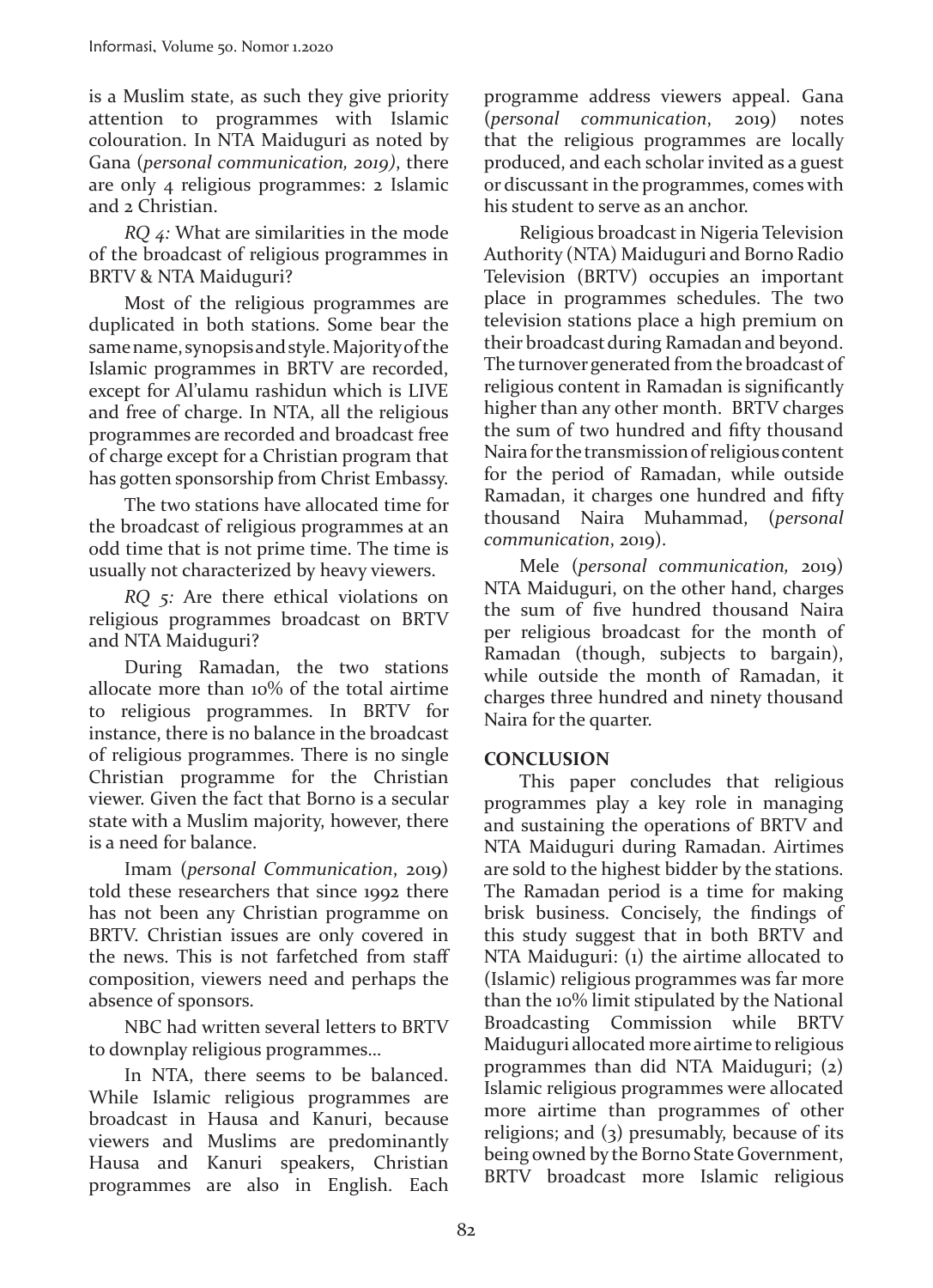is a Muslim state, as such they give priority attention to programmes with Islamic colouration. In NTA Maiduguri as noted by Gana (*personal communication, 2019)*, there are only 4 religious programmes: 2 Islamic and 2 Christian.

*RQ 4:* What are similarities in the mode of the broadcast of religious programmes in BRTV & NTA Maiduguri?

Most of the religious programmes are duplicated in both stations. Some bear the same name, synopsis and style. Majority of the Islamic programmes in BRTV are recorded, except for Al'ulamu rashidun which is LIVE and free of charge. In NTA, all the religious programmes are recorded and broadcast free of charge except for a Christian program that has gotten sponsorship from Christ Embassy.

The two stations have allocated time for the broadcast of religious programmes at an odd time that is not prime time. The time is usually not characterized by heavy viewers.

*RQ 5:* Are there ethical violations on religious programmes broadcast on BRTV and NTA Maiduguri?

During Ramadan, the two stations allocate more than 10% of the total airtime to religious programmes. In BRTV for instance, there is no balance in the broadcast of religious programmes. There is no single Christian programme for the Christian viewer. Given the fact that Borno is a secular state with a Muslim majority, however, there is a need for balance.

Imam (*personal Communication*, 2019) told these researchers that since 1992 there has not been any Christian programme on BRTV. Christian issues are only covered in the news. This is not farfetched from staff composition, viewers need and perhaps the absence of sponsors.

NBC had written several letters to BRTV to downplay religious programmes…

In NTA, there seems to be balanced. While Islamic religious programmes are broadcast in Hausa and Kanuri, because viewers and Muslims are predominantly Hausa and Kanuri speakers, Christian programmes are also in English. Each programme address viewers appeal. Gana (*personal communication*, 2019) notes that the religious programmes are locally produced, and each scholar invited as a guest or discussant in the programmes, comes with his student to serve as an anchor.

Religious broadcast in Nigeria Television Authority (NTA) Maiduguri and Borno Radio Television (BRTV) occupies an important place in programmes schedules. The two television stations place a high premium on their broadcast during Ramadan and beyond. The turnover generated from the broadcast of religious content in Ramadan is significantly higher than any other month. BRTV charges the sum of two hundred and fifty thousand Naira for the transmission of religious content for the period of Ramadan, while outside Ramadan, it charges one hundred and fifty thousand Naira Muhammad, (*personal communication*, 2019).

Mele (*personal communication,* 2019) NTA Maiduguri, on the other hand, charges the sum of five hundred thousand Naira per religious broadcast for the month of Ramadan (though, subjects to bargain), while outside the month of Ramadan, it charges three hundred and ninety thousand Naira for the quarter.

## **CONCLUSION**

This paper concludes that religious programmes play a key role in managing and sustaining the operations of BRTV and NTA Maiduguri during Ramadan. Airtimes are sold to the highest bidder by the stations. The Ramadan period is a time for making brisk business. Concisely, the findings of this study suggest that in both BRTV and NTA Maiduguri: (1) the airtime allocated to (Islamic) religious programmes was far more than the 10% limit stipulated by the National Broadcasting Commission while BRTV Maiduguri allocated more airtime to religious programmes than did NTA Maiduguri; (2) Islamic religious programmes were allocated more airtime than programmes of other religions; and (3) presumably, because of its being owned by the Borno State Government, BRTV broadcast more Islamic religious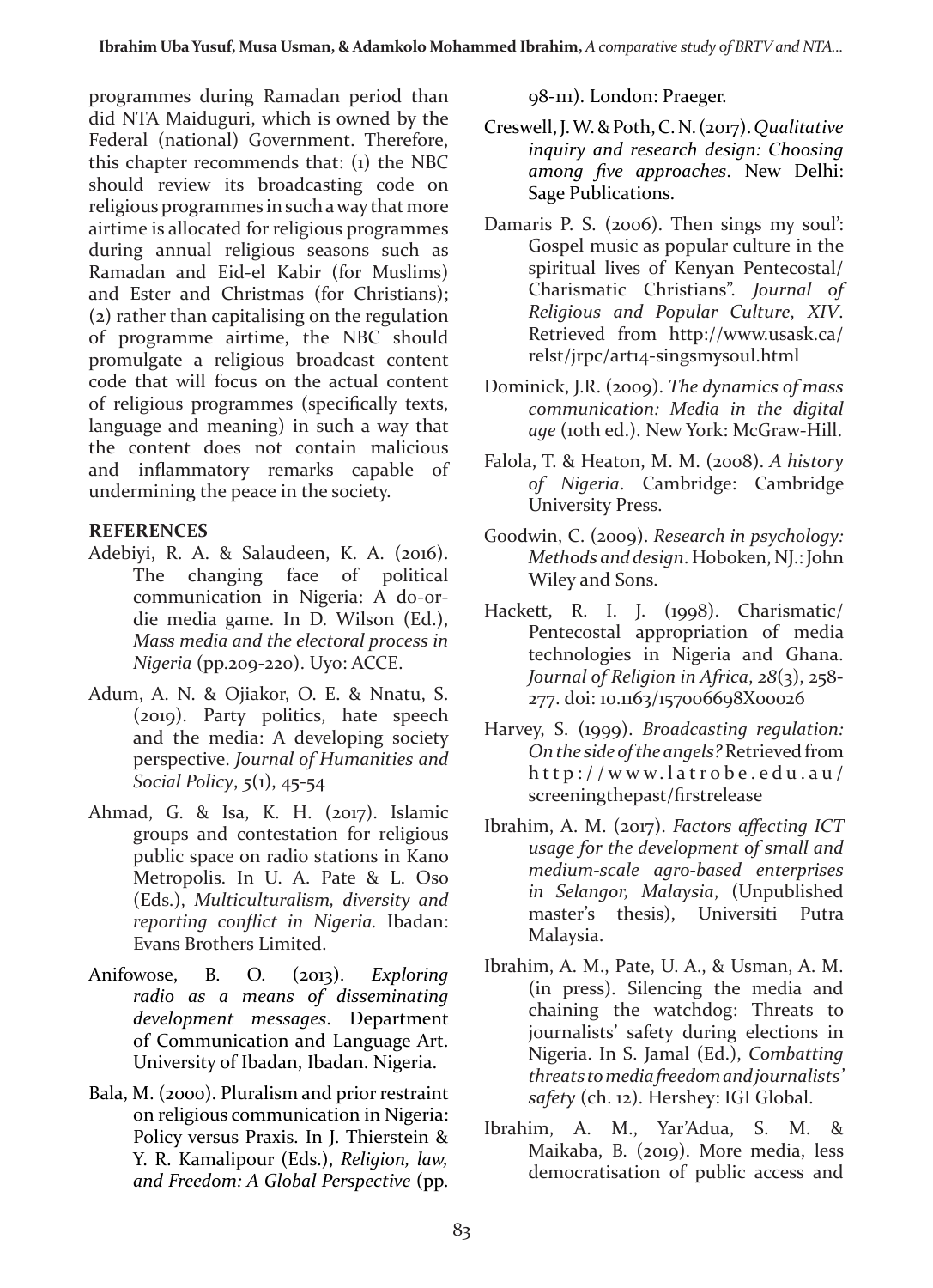programmes during Ramadan period than did NTA Maiduguri, which is owned by the Federal (national) Government. Therefore, this chapter recommends that: (1) the NBC should review its broadcasting code on religious programmes in such a way that more airtime is allocated for religious programmes during annual religious seasons such as Ramadan and Eid-el Kabir (for Muslims) and Ester and Christmas (for Christians); (2) rather than capitalising on the regulation of programme airtime, the NBC should promulgate a religious broadcast content code that will focus on the actual content of religious programmes (specifically texts, language and meaning) in such a way that the content does not contain malicious and inflammatory remarks capable of undermining the peace in the society.

### **REFERENCES**

- Adebiyi, R. A. & Salaudeen, K. A. (2016). The changing face of political communication in Nigeria: A do-ordie media game. In D. Wilson (Ed.), *Mass media and the electoral process in Nigeria* (pp.209-220). Uyo: ACCE.
- Adum, A. N. & Ojiakor, O. E. & Nnatu, S. (2019). Party politics, hate speech and the media: A developing society perspective. *Journal of Humanities and Social Policy*, *5*(1), 45-54
- Ahmad, G. & Isa, K. H. (2017). Islamic groups and contestation for religious public space on radio stations in Kano Metropolis. In U. A. Pate & L. Oso (Eds.), *Multiculturalism, diversity and reporting conflict in Nigeria.* Ibadan: Evans Brothers Limited.
- Anifowose, B. O. (2013). *Exploring radio as a means of disseminating development messages*. Department of Communication and Language Art. University of Ibadan, Ibadan. Nigeria.
- Bala, M. (2000). Pluralism and prior restraint on religious communication in Nigeria: Policy versus Praxis. In J. Thierstein & Y. R. Kamalipour (Eds.), *Religion, law, and Freedom: A Global Perspective* (pp.

98-111). London: Praeger.

- Creswell, J. W. & Poth, C. N. (2017). *Qualitative inquiry and research design: Choosing among five approaches*. New Delhi: Sage Publications.
- Damaris P. S. (2006). Then sings my soul': Gospel music as popular culture in the spiritual lives of Kenyan Pentecostal/ Charismatic Christians". *Journal of Religious and Popular Culture*, *XIV*. Retrieved from http://www.usask.ca/ relst/jrpc/art14-singsmysoul.html
- Dominick, J.R. (2009). *The dynamics of mass communication: Media in the digital age* (10th ed.). New York: McGraw-Hill.
- Falola, T. & Heaton, M. M. (2008). *A history of Nigeria*. Cambridge: Cambridge University Press.
- Goodwin, C. (2009). *Research in psychology: Methods and design*. Hoboken, NJ.: John Wiley and Sons.
- Hackett, R. I. J. (1998). Charismatic/ Pentecostal appropriation of media technologies in Nigeria and Ghana. *Journal of Religion in Africa*, *28*(3), 258- 277. doi: 10.1163/157006698X00026
- Harvey, S. (1999). *Broadcasting regulation: On the side of the angels?* Retrieved from http://www.latrobe.edu.au/ screeningthepast/firstrelease
- Ibrahim, A. M. (2017). *Factors affecting ICT usage for the development of small and medium-scale agro-based enterprises in Selangor, Malaysia*, (Unpublished master's thesis), Universiti Putra Malaysia.
- Ibrahim, A. M., Pate, U. A., & Usman, A. M. (in press). Silencing the media and chaining the watchdog: Threats to journalists' safety during elections in Nigeria. In S. Jamal (Ed.), *Combatting threats to media freedom and journalists' safety* (ch. 12). Hershey: IGI Global.
- Ibrahim, A. M., Yar'Adua, S. M. & Maikaba, B. (2019). More media, less democratisation of public access and